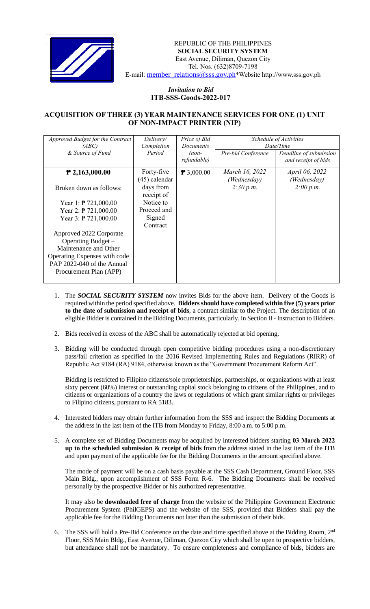

REPUBLIC OF THE PHILIPPINES  **SOCIAL SECURITY SYSTEM** East Avenue, Diliman, Quezon City Tel. Nos. (632)8709-7198 E-mail: member\_relations@sss.gov.ph\*Website http://www.sss.gov.ph

## *Invitation to Bid*  **ITB-SSS-Goods-2022-017**

## **ACQUISITION OF THREE (3) YEAR MAINTENANCE SERVICES FOR ONE (1) UNIT OF NON-IMPACT PRINTER (NIP)**

| Approved Budget for the Contract<br>(ABC) | Delivery/<br>Completion       | Price of Bid<br><b>Documents</b> | Schedule of Activities<br>Date/Time |                                               |
|-------------------------------------------|-------------------------------|----------------------------------|-------------------------------------|-----------------------------------------------|
| & Source of Fund                          | Period                        | $(non-$<br>refundable)           | Pre-bid Conference                  | Deadline of submission<br>and receipt of bids |
| $P$ 2,163,000.00                          | Forty-five<br>$(45)$ calendar | $\mathbf{P}$ 3,000.00            | March 16, 2022<br>(Wednesday)       | <i>April</i> 06, 2022<br>(Wednesday)          |
| Broken down as follows:                   | days from<br>receipt of       |                                  | 2:30 p.m.                           | 2:00 p.m.                                     |
| Year 1: $\overline{P}$ 721,000.00         | Notice to                     |                                  |                                     |                                               |
| Year 2: $\overline{P}$ 721,000.00         | Proceed and                   |                                  |                                     |                                               |
| Year 3: $\overline{P}$ 721,000.00         | Signed<br>Contract            |                                  |                                     |                                               |
| Approved 2022 Corporate                   |                               |                                  |                                     |                                               |
| Operating Budget -                        |                               |                                  |                                     |                                               |
| Maintenance and Other                     |                               |                                  |                                     |                                               |
| Operating Expenses with code              |                               |                                  |                                     |                                               |
| PAP 2022-040 of the Annual                |                               |                                  |                                     |                                               |
| Procurement Plan (APP)                    |                               |                                  |                                     |                                               |

- 1. The *SOCIAL SECURITY SYSTEM* now invites Bids for the above item. Delivery of the Goods is required within the period specified above. **Bidders should have completed within five (5) years prior to the date of submission and receipt of bids**, a contract similar to the Project. The description of an eligible Bidder is contained in the Bidding Documents, particularly, in Section II - Instruction to Bidders.
- 2. Bids received in excess of the ABC shall be automatically rejected at bid opening.
- 3. Bidding will be conducted through open competitive bidding procedures using a non-discretionary pass/fail criterion as specified in the 2016 Revised Implementing Rules and Regulations (RIRR) of Republic Act 9184 (RA) 9184, otherwise known as the "Government Procurement Reform Act".

Bidding is restricted to Filipino citizens/sole proprietorships, partnerships, or organizations with at least sixty percent (60%) interest or outstanding capital stock belonging to citizens of the Philippines, and to citizens or organizations of a country the laws or regulations of which grant similar rights or privileges to Filipino citizens, pursuant to RA 5183.

- 4. Interested bidders may obtain further information from the SSS and inspect the Bidding Documents at the address in the last item of the ITB from Monday to Friday, 8:00 a.m. to 5:00 p.m.
- 5. A complete set of Bidding Documents may be acquired by interested bidders starting **03 March 2022 up to the scheduled submission & receipt of bids** from the address stated in the last item of the ITB and upon payment of the applicable fee for the Bidding Documents in the amount specified above.

The mode of payment will be on a cash basis payable at the SSS Cash Department, Ground Floor, SSS Main Bldg., upon accomplishment of SSS Form R-6. The Bidding Documents shall be received personally by the prospective Bidder or his authorized representative.

It may also be **downloaded free of charge** from the website of the Philippine Government Electronic Procurement System (PhilGEPS) and the website of the SSS*,* provided that Bidders shall pay the applicable fee for the Bidding Documents not later than the submission of their bids.

6. The SSS will hold a Pre-Bid Conference on the date and time specified above at the Bidding Room, 2<sup>nd</sup> Floor, SSS Main Bldg., East Avenue, Diliman, Quezon City which shall be open to prospective bidders, but attendance shall not be mandatory. To ensure completeness and compliance of bids, bidders are